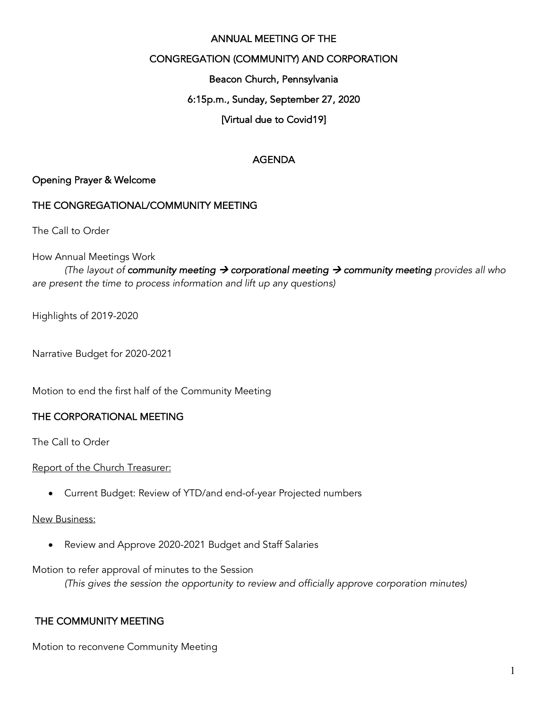#### ANNUAL MEETING OF THE

#### CONGREGATION (COMMUNITY) AND CORPORATION

Beacon Church, Pennsylvania

#### 6:15p.m., Sunday, September 27, 2020

#### [Virtual due to Covid19]

#### AGENDA

#### Opening Prayer & Welcome

#### THE CONGREGATIONAL/COMMUNITY MEETING

The Call to Order

How Annual Meetings Work

*(The layout of community meeting*  $\rightarrow$  *corporational meeting*  $\rightarrow$  *community meeting provides all who are present the time to process information and lift up any questions)*

Highlights of 2019-2020

Narrative Budget for 2020-2021

Motion to end the first half of the Community Meeting

#### THE CORPORATIONAL MEETING

The Call to Order

Report of the Church Treasurer:

• Current Budget: Review of YTD/and end-of-year Projected numbers

#### New Business:

• Review and Approve 2020-2021 Budget and Staff Salaries

Motion to refer approval of minutes to the Session

*(This gives the session the opportunity to review and officially approve corporation minutes)*

#### THE COMMUNITY MEETING

Motion to reconvene Community Meeting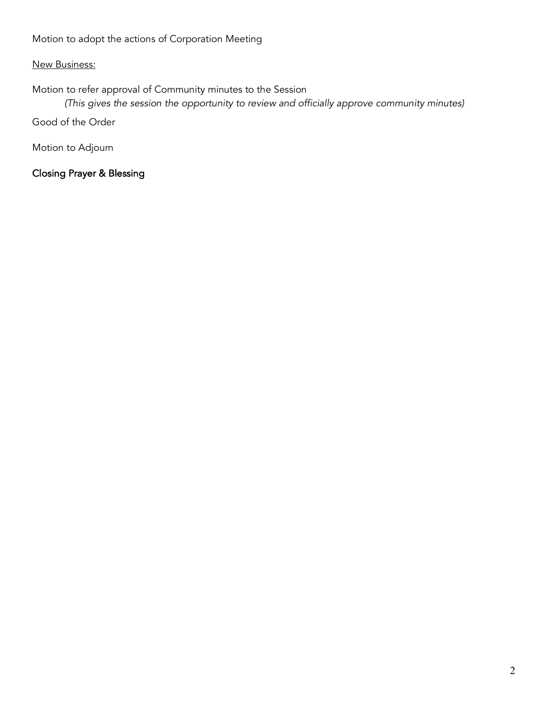Motion to adopt the actions of Corporation Meeting

# New Business:

Motion to refer approval of Community minutes to the Session

*(This gives the session the opportunity to review and officially approve community minutes)*

Good of the Order

Motion to Adjourn

Closing Prayer & Blessing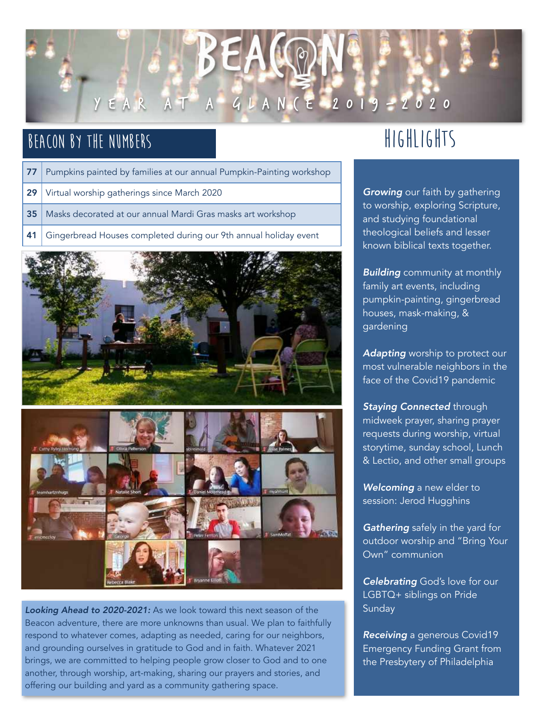

# **Beacon by the Numbers**

- 77 Pumpkins painted by families at our annual Pumpkin-Painting workshop
- 29 Virtual worship gatherings since March 2020
- 35 | Masks decorated at our annual Mardi Gras masks art workshop
- 41 Gingerbread Houses completed during our 9th annual holiday event





*Looking Ahead to 2020-2021:* As we look toward this next season of the Beacon adventure, there are more unknowns than usual. We plan to faithfully respond to whatever comes, adapting as needed, caring for our neighbors, and grounding ourselves in gratitude to God and in faith. Whatever 2021 brings, we are committed to helping people grow closer to God and to one another, through worship, art-making, sharing our prayers and stories, and offering our building and yard as a community gathering space.

# **Highlights**

*Growing* our faith by gathering to worship, exploring Scripture, and studying foundational theological beliefs and lesser known biblical texts together.

*Building* community at monthly family art events, including pumpkin-painting, gingerbread houses, mask-making, & gardening

*Adapting* worship to protect our most vulnerable neighbors in the face of the Covid19 pandemic

*Staying Connected* through midweek prayer, sharing prayer requests during worship, virtual storytime, sunday school, Lunch & Lectio, and other small groups

*Welcoming* a new elder to session: Jerod Hugghins

*Gathering* safely in the yard for outdoor worship and "Bring Your Own" communion

*Celebrating* God's love for our LGBTQ+ siblings on Pride Sunday

*Receiving* a generous Covid19 Emergency Funding Grant from the Presbytery of Philadelphia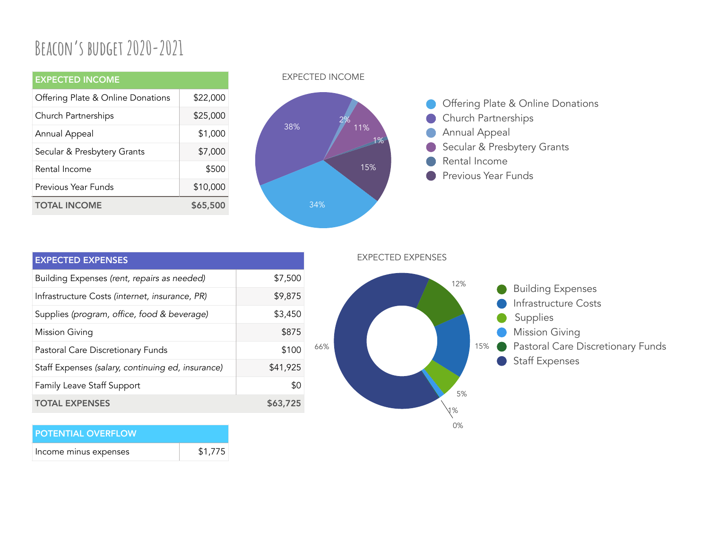# **Beacon's budget 2020-2021**

| <b>EXPECTED INCOME</b>            |          |
|-----------------------------------|----------|
| Offering Plate & Online Donations | \$22,000 |
| Church Partnerships               | \$25,000 |
| Annual Appeal                     | \$1,000  |
| Secular & Presbytery Grants       | \$7,000  |
| Rental Income                     | \$500    |
| Previous Year Funds               | \$10,000 |
| <b>TOTAL INCOME</b>               | \$65,500 |

#### EXPECTED INCOME



EXPECTED EXPENSES

| <b>EXPECTED EXPENSES</b>                          |          |
|---------------------------------------------------|----------|
| Building Expenses (rent, repairs as needed)       | \$7,500  |
| Infrastructure Costs (internet, insurance, PR)    | \$9,875  |
| Supplies (program, office, food & beverage)       | \$3,450  |
| <b>Mission Giving</b>                             | \$875    |
| Pastoral Care Discretionary Funds                 | \$100    |
| Staff Expenses (salary, continuing ed, insurance) | \$41,925 |
| Family Leave Staff Support                        | \$0      |
| <b>TOTAL EXPENSES</b>                             | \$63,725 |

| 66% |  | 5%<br>1% | $\qquad \qquad \blacksquare$<br>$\Box$ | Infrastructure Costs<br>Supplies<br><b>Mission Giving</b><br>15% Pastoral Care Discretionary Funds<br><b>Staff Expenses</b> |
|-----|--|----------|----------------------------------------|-----------------------------------------------------------------------------------------------------------------------------|
|     |  | 0%       |                                        |                                                                                                                             |

12% **Building Expenses** 

# POTENTIAL OVERFLOW

Income minus expenses  $$1,775$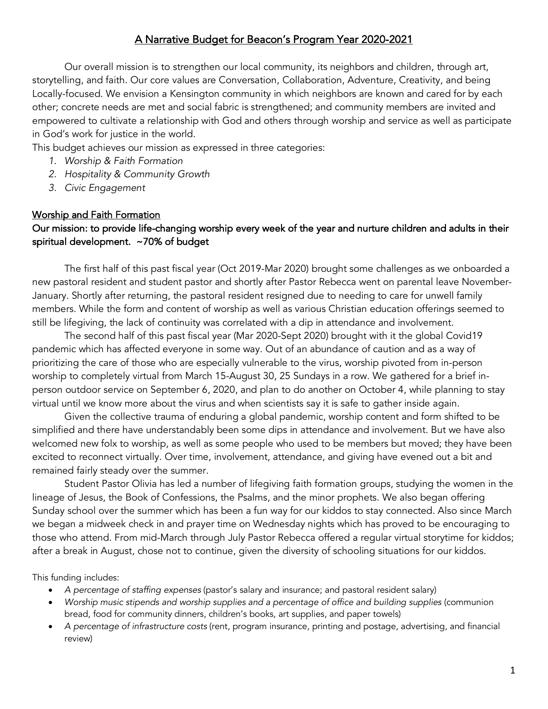### A Narrative Budget for Beacon's Program Year 2020-2021

Our overall mission is to strengthen our local community, its neighbors and children, through art, storytelling, and faith. Our core values are Conversation, Collaboration, Adventure, Creativity, and being Locally-focused. We envision a Kensington community in which neighbors are known and cared for by each other; concrete needs are met and social fabric is strengthened; and community members are invited and empowered to cultivate a relationship with God and others through worship and service as well as participate in God's work for justice in the world.

This budget achieves our mission as expressed in three categories:

- *1. Worship & Faith Formation*
- *2. Hospitality & Community Growth*
- *3. Civic Engagement*

#### Worship and Faith Formation

# Our mission: to provide life-changing worship every week of the year and nurture children and adults in their spiritual development. ~70% of budget

The first half of this past fiscal year (Oct 2019-Mar 2020) brought some challenges as we onboarded a new pastoral resident and student pastor and shortly after Pastor Rebecca went on parental leave November-January. Shortly after returning, the pastoral resident resigned due to needing to care for unwell family members. While the form and content of worship as well as various Christian education offerings seemed to still be lifegiving, the lack of continuity was correlated with a dip in attendance and involvement.

The second half of this past fiscal year (Mar 2020-Sept 2020) brought with it the global Covid19 pandemic which has affected everyone in some way. Out of an abundance of caution and as a way of prioritizing the care of those who are especially vulnerable to the virus, worship pivoted from in-person worship to completely virtual from March 15-August 30, 25 Sundays in a row. We gathered for a brief inperson outdoor service on September 6, 2020, and plan to do another on October 4, while planning to stay virtual until we know more about the virus and when scientists say it is safe to gather inside again.

Given the collective trauma of enduring a global pandemic, worship content and form shifted to be simplified and there have understandably been some dips in attendance and involvement. But we have also welcomed new folx to worship, as well as some people who used to be members but moved; they have been excited to reconnect virtually. Over time, involvement, attendance, and giving have evened out a bit and remained fairly steady over the summer.

Student Pastor Olivia has led a number of lifegiving faith formation groups, studying the women in the lineage of Jesus, the Book of Confessions, the Psalms, and the minor prophets. We also began offering Sunday school over the summer which has been a fun way for our kiddos to stay connected. Also since March we began a midweek check in and prayer time on Wednesday nights which has proved to be encouraging to those who attend. From mid-March through July Pastor Rebecca offered a regular virtual storytime for kiddos; after a break in August, chose not to continue, given the diversity of schooling situations for our kiddos.

This funding includes:

- *A percentage of staffing expenses* (pastor's salary and insurance; and pastoral resident salary)
- *Worship music stipends and worship supplies and a percentage of office and building supplies* (communion bread, food for community dinners, children's books, art supplies, and paper towels)
- *A percentage of infrastructure costs* (rent, program insurance, printing and postage, advertising, and financial review)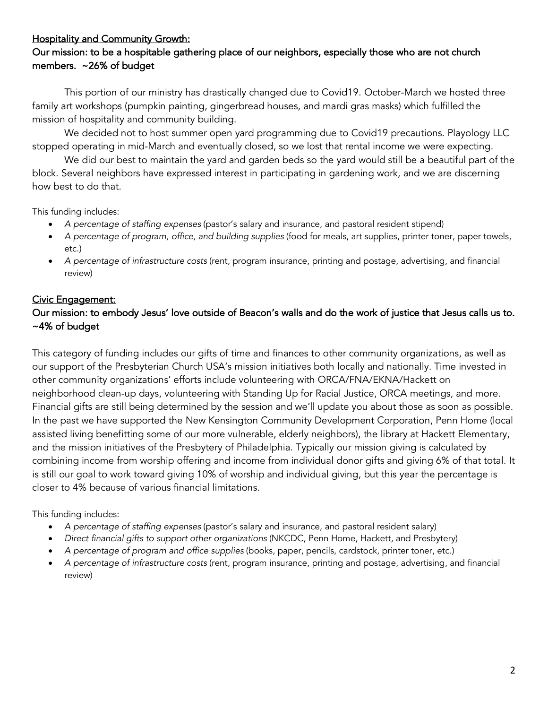# Hospitality and Community Growth:

# Our mission: to be a hospitable gathering place of our neighbors, especially those who are not church members. ~26% of budget

This portion of our ministry has drastically changed due to Covid19. October-March we hosted three family art workshops (pumpkin painting, gingerbread houses, and mardi gras masks) which fulfilled the mission of hospitality and community building.

We decided not to host summer open yard programming due to Covid19 precautions. Playology LLC stopped operating in mid-March and eventually closed, so we lost that rental income we were expecting.

We did our best to maintain the yard and garden beds so the yard would still be a beautiful part of the block. Several neighbors have expressed interest in participating in gardening work, and we are discerning how best to do that.

This funding includes:

- *A percentage of staffing expenses* (pastor's salary and insurance, and pastoral resident stipend)
- *A percentage of program, office, and building supplies* (food for meals, art supplies, printer toner, paper towels, etc.)
- *A percentage of infrastructure costs* (rent, program insurance, printing and postage, advertising, and financial review)

# Civic Engagement:

### Our mission: to embody Jesus' love outside of Beacon's walls and do the work of justice that Jesus calls us to. ~4% of budget

This category of funding includes our gifts of time and finances to other community organizations, as well as our support of the Presbyterian Church USA's mission initiatives both locally and nationally. Time invested in other community organizations' efforts include volunteering with ORCA/FNA/EKNA/Hackett on neighborhood clean-up days, volunteering with Standing Up for Racial Justice, ORCA meetings, and more. Financial gifts are still being determined by the session and we'll update you about those as soon as possible. In the past we have supported the New Kensington Community Development Corporation, Penn Home (local assisted living benefitting some of our more vulnerable, elderly neighbors), the library at Hackett Elementary, and the mission initiatives of the Presbytery of Philadelphia. Typically our mission giving is calculated by combining income from worship offering and income from individual donor gifts and giving 6% of that total. It is still our goal to work toward giving 10% of worship and individual giving, but this year the percentage is closer to 4% because of various financial limitations.

This funding includes:

- *A percentage of staffing expenses* (pastor's salary and insurance, and pastoral resident salary)
- *Direct financial gifts to support other organizations* (NKCDC, Penn Home, Hackett, and Presbytery)
- *A percentage of program and office supplies* (books, paper, pencils, cardstock, printer toner, etc.)
- *A percentage of infrastructure costs* (rent, program insurance, printing and postage, advertising, and financial review)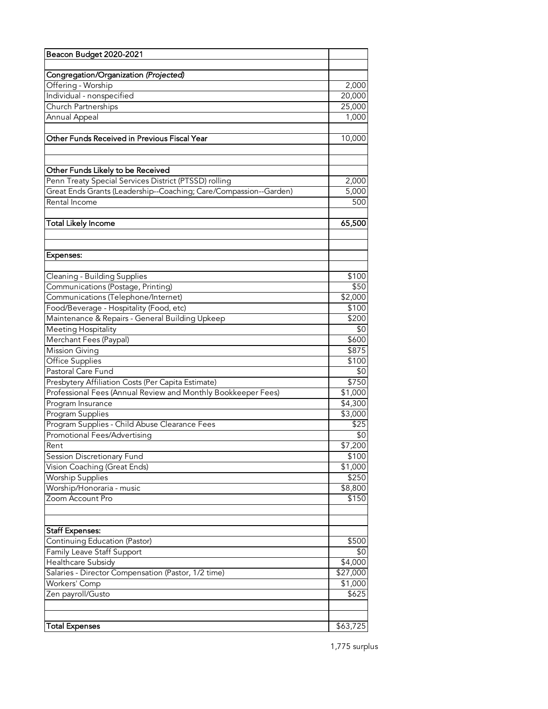| Beacon Budget 2020-2021                                           |                                |  |  |  |  |
|-------------------------------------------------------------------|--------------------------------|--|--|--|--|
|                                                                   |                                |  |  |  |  |
| Congregation/Organization (Projected)                             |                                |  |  |  |  |
| Offering - Worship                                                | 2,000                          |  |  |  |  |
| Individual - nonspecified                                         | 20,000                         |  |  |  |  |
| <b>Church Partnerships</b>                                        | 25,000                         |  |  |  |  |
| Annual Appeal                                                     | 1,000                          |  |  |  |  |
| Other Funds Received in Previous Fiscal Year                      | 10,000                         |  |  |  |  |
|                                                                   |                                |  |  |  |  |
| Other Funds Likely to be Received                                 |                                |  |  |  |  |
| Penn Treaty Special Services District (PTSSD) rolling             | 2,000                          |  |  |  |  |
| Great Ends Grants (Leadership--Coaching; Care/Compassion--Garden) | 5,000                          |  |  |  |  |
| Rental Income                                                     | 500                            |  |  |  |  |
| <b>Total Likely Income</b>                                        | 65,500                         |  |  |  |  |
|                                                                   |                                |  |  |  |  |
|                                                                   |                                |  |  |  |  |
| Expenses:                                                         |                                |  |  |  |  |
| Cleaning - Building Supplies                                      | \$100                          |  |  |  |  |
| Communications (Postage, Printing)                                | \$50                           |  |  |  |  |
| Communications (Telephone/Internet)                               | \$2,000                        |  |  |  |  |
| Food/Beverage - Hospitality (Food, etc)                           | \$100                          |  |  |  |  |
| Maintenance & Repairs - General Building Upkeep                   | \$200                          |  |  |  |  |
| Meeting Hospitality                                               | \$0                            |  |  |  |  |
| Merchant Fees (Paypal)                                            | \$600                          |  |  |  |  |
| <b>Mission Giving</b>                                             | \$875                          |  |  |  |  |
| <b>Office Supplies</b>                                            | \$100                          |  |  |  |  |
| Pastoral Care Fund                                                | \$0                            |  |  |  |  |
| Presbytery Affiliation Costs (Per Capita Estimate)                | \$750                          |  |  |  |  |
| Professional Fees (Annual Review and Monthly Bookkeeper Fees)     |                                |  |  |  |  |
| Program Insurance                                                 | $\overline{$}1,000$<br>\$4,300 |  |  |  |  |
| Program Supplies                                                  |                                |  |  |  |  |
| Program Supplies - Child Abuse Clearance Fees                     |                                |  |  |  |  |
| Promotional Fees/Advertising                                      |                                |  |  |  |  |
| Rent                                                              | \$0<br>\$7,200                 |  |  |  |  |
| Session Discretionary Fund                                        | \$100                          |  |  |  |  |
| Vision Coaching (Great Ends)                                      | \$1,000                        |  |  |  |  |
| <b>Worship Supplies</b>                                           | \$250                          |  |  |  |  |
| Worship/Honoraria - music                                         | \$8,800                        |  |  |  |  |
| Zoom Account Pro                                                  | \$150                          |  |  |  |  |
|                                                                   |                                |  |  |  |  |
| <b>Staff Expenses:</b>                                            |                                |  |  |  |  |
| Continuing Education (Pastor)                                     | \$500                          |  |  |  |  |
| Family Leave Staff Support                                        | \$0                            |  |  |  |  |
| Healthcare Subsidy                                                | \$4,000                        |  |  |  |  |
| Salaries - Director Compensation (Pastor, 1/2 time)               | \$27,000                       |  |  |  |  |
| Workers' Comp                                                     | \$1,000                        |  |  |  |  |
| Zen payroll/Gusto                                                 | \$625                          |  |  |  |  |
|                                                                   |                                |  |  |  |  |
| Total Expenses                                                    | \$63,725                       |  |  |  |  |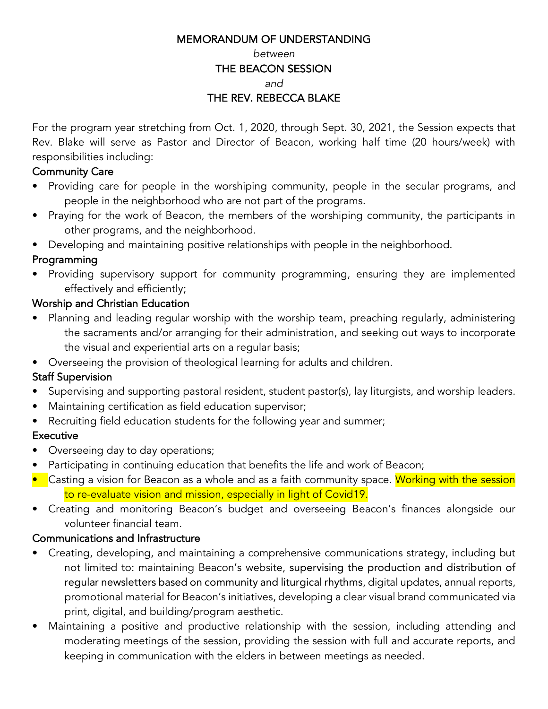#### MEMORANDUM OF UNDERSTANDING

#### *between*

#### THE BEACON SESSION

*and*

# THE REV. REBECCA BLAKE

For the program year stretching from Oct. 1, 2020, through Sept. 30, 2021, the Session expects that Rev. Blake will serve as Pastor and Director of Beacon, working half time (20 hours/week) with responsibilities including:

# Community Care

- Providing care for people in the worshiping community, people in the secular programs, and people in the neighborhood who are not part of the programs.
- Praying for the work of Beacon, the members of the worshiping community, the participants in other programs, and the neighborhood.
- Developing and maintaining positive relationships with people in the neighborhood.

# Programming

• Providing supervisory support for community programming, ensuring they are implemented effectively and efficiently;

# Worship and Christian Education

- Planning and leading regular worship with the worship team, preaching regularly, administering the sacraments and/or arranging for their administration, and seeking out ways to incorporate the visual and experiential arts on a regular basis;
- Overseeing the provision of theological learning for adults and children.

# Staff Supervision

- Supervising and supporting pastoral resident, student pastor(s), lay liturgists, and worship leaders.
- Maintaining certification as field education supervisor;
- Recruiting field education students for the following year and summer;

# **Executive**

- Overseeing day to day operations;
- Participating in continuing education that benefits the life and work of Beacon;
- Casting a vision for Beacon as a whole and as a faith community space. Working with the session to re-evaluate vision and mission, especially in light of Covid19.
- Creating and monitoring Beacon's budget and overseeing Beacon's finances alongside our volunteer financial team.

### Communications and Infrastructure

- Creating, developing, and maintaining a comprehensive communications strategy, including but not limited to: maintaining Beacon's website, supervising the production and distribution of regular newsletters based on community and liturgical rhythms, digital updates, annual reports, promotional material for Beacon's initiatives, developing a clear visual brand communicated via print, digital, and building/program aesthetic.
- Maintaining a positive and productive relationship with the session, including attending and moderating meetings of the session, providing the session with full and accurate reports, and keeping in communication with the elders in between meetings as needed.